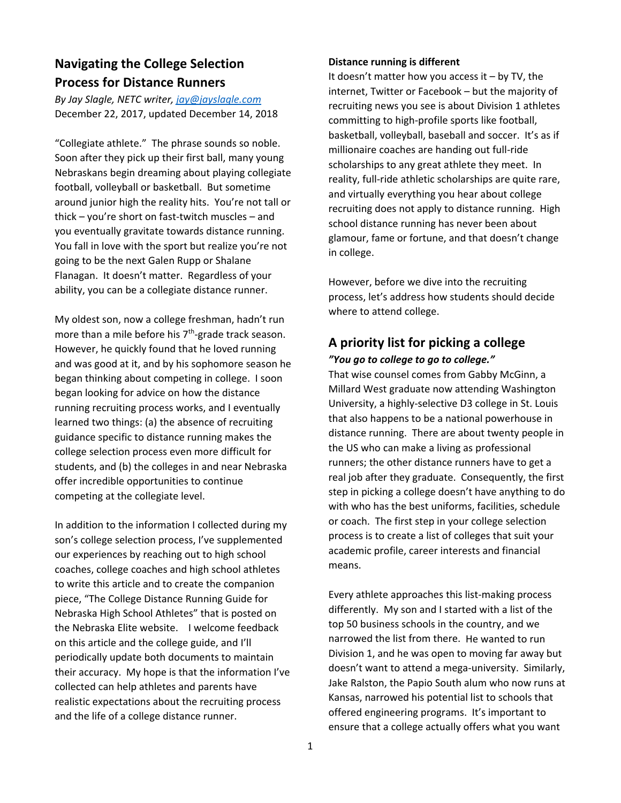# **Navigating the College Selection Process for Distance Runners**

*By Jay Slagle, NETC writer, jay@jayslagle.com* December 22, 2017, updated December 14, 2018

"Collegiate athlete." The phrase sounds so noble. Soon after they pick up their first ball, many young Nebraskans begin dreaming about playing collegiate football, volleyball or basketball. But sometime around junior high the reality hits. You're not tall or thick – you're short on fast‐twitch muscles – and you eventually gravitate towards distance running. You fall in love with the sport but realize you're not going to be the next Galen Rupp or Shalane Flanagan. It doesn't matter. Regardless of your ability, you can be a collegiate distance runner.

My oldest son, now a college freshman, hadn't run more than a mile before his 7<sup>th</sup>-grade track season. However, he quickly found that he loved running and was good at it, and by his sophomore season he began thinking about competing in college. I soon began looking for advice on how the distance running recruiting process works, and I eventually learned two things: (a) the absence of recruiting guidance specific to distance running makes the college selection process even more difficult for students, and (b) the colleges in and near Nebraska offer incredible opportunities to continue competing at the collegiate level.

In addition to the information I collected during my son's college selection process, I've supplemented our experiences by reaching out to high school coaches, college coaches and high school athletes to write this article and to create the companion piece, "The College Distance Running Guide for Nebraska High School Athletes" that is posted on the Nebraska Elite website. I welcome feedback on this article and the college guide, and I'll periodically update both documents to maintain their accuracy. My hope is that the information I've collected can help athletes and parents have realistic expectations about the recruiting process and the life of a college distance runner.

#### **Distance running is different**

It doesn't matter how you access it  $-$  by TV, the internet, Twitter or Facebook – but the majority of recruiting news you see is about Division 1 athletes committing to high‐profile sports like football, basketball, volleyball, baseball and soccer. It's as if millionaire coaches are handing out full‐ride scholarships to any great athlete they meet. In reality, full‐ride athletic scholarships are quite rare, and virtually everything you hear about college recruiting does not apply to distance running. High school distance running has never been about glamour, fame or fortune, and that doesn't change in college.

However, before we dive into the recruiting process, let's address how students should decide where to attend college.

## **A priority list for picking a college** *"You go to college to go to college."*

That wise counsel comes from Gabby McGinn, a Millard West graduate now attending Washington University, a highly‐selective D3 college in St. Louis that also happens to be a national powerhouse in distance running. There are about twenty people in the US who can make a living as professional runners; the other distance runners have to get a real job after they graduate. Consequently, the first step in picking a college doesn't have anything to do with who has the best uniforms, facilities, schedule or coach. The first step in your college selection process is to create a list of colleges that suit your academic profile, career interests and financial means.

Every athlete approaches this list‐making process differently. My son and I started with a list of the top 50 business schools in the country, and we narrowed the list from there. He wanted to run Division 1, and he was open to moving far away but doesn't want to attend a mega-university. Similarly, Jake Ralston, the Papio South alum who now runs at Kansas, narrowed his potential list to schools that offered engineering programs. It's important to ensure that a college actually offers what you want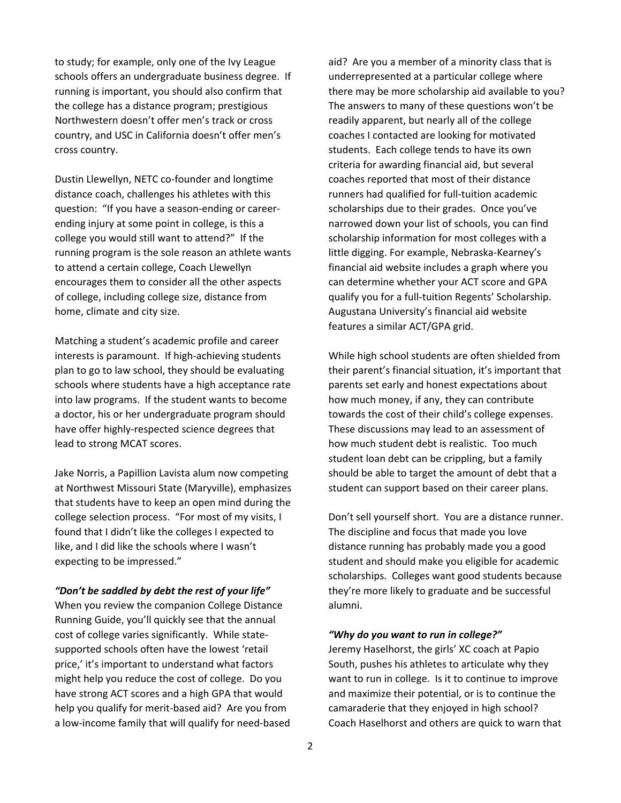to study; for example, only one of the Ivy League schools offers an undergraduate business degree. If running is important, you should also confirm that the college has a distance program; prestigious Northwestern doesn't offer men's track or cross country, and USC in California doesn't offer men's cross country.

Dustin Llewellyn, NETC co‐founder and longtime distance coach, challenges his athletes with this question: "If you have a season‐ending or career‐ ending injury at some point in college, is this a college you would still want to attend?" If the running program is the sole reason an athlete wants to attend a certain college, Coach Llewellyn encourages them to consider all the other aspects of college, including college size, distance from home, climate and city size.

Matching a student's academic profile and career interests is paramount. If high-achieving students plan to go to law school, they should be evaluating schools where students have a high acceptance rate into law programs. If the student wants to become a doctor, his or her undergraduate program should have offer highly‐respected science degrees that lead to strong MCAT scores.

Jake Norris, a Papillion Lavista alum now competing at Northwest Missouri State (Maryville), emphasizes that students have to keep an open mind during the college selection process. "For most of my visits, I found that I didn't like the colleges I expected to like, and I did like the schools where I wasn't expecting to be impressed."

#### *"Don't be saddled by debt the rest of your life"*

When you review the companion College Distance Running Guide, you'll quickly see that the annual cost of college varies significantly. While state‐ supported schools often have the lowest 'retail price,' it's important to understand what factors might help you reduce the cost of college. Do you have strong ACT scores and a high GPA that would help you qualify for merit‐based aid? Are you from a low‐income family that will qualify for need‐based

aid? Are you a member of a minority class that is underrepresented at a particular college where there may be more scholarship aid available to you? The answers to many of these questions won't be readily apparent, but nearly all of the college coaches I contacted are looking for motivated students. Each college tends to have its own criteria for awarding financial aid, but several coaches reported that most of their distance runners had qualified for full‐tuition academic scholarships due to their grades. Once you've narrowed down your list of schools, you can find scholarship information for most colleges with a little digging. For example, Nebraska‐Kearney's financial aid website includes a graph where you can determine whether your ACT score and GPA qualify you for a full‐tuition Regents' Scholarship. Augustana University's financial aid website features a similar ACT/GPA grid.

While high school students are often shielded from their parent's financial situation, it's important that parents set early and honest expectations about how much money, if any, they can contribute towards the cost of their child's college expenses. These discussions may lead to an assessment of how much student debt is realistic. Too much student loan debt can be crippling, but a family should be able to target the amount of debt that a student can support based on their career plans.

Don't sell yourself short. You are a distance runner. The discipline and focus that made you love distance running has probably made you a good student and should make you eligible for academic scholarships. Colleges want good students because they're more likely to graduate and be successful alumni.

#### *"Why do you want to run in college?"*

Jeremy Haselhorst, the girls' XC coach at Papio South, pushes his athletes to articulate why they want to run in college. Is it to continue to improve and maximize their potential, or is to continue the camaraderie that they enjoyed in high school? Coach Haselhorst and others are quick to warn that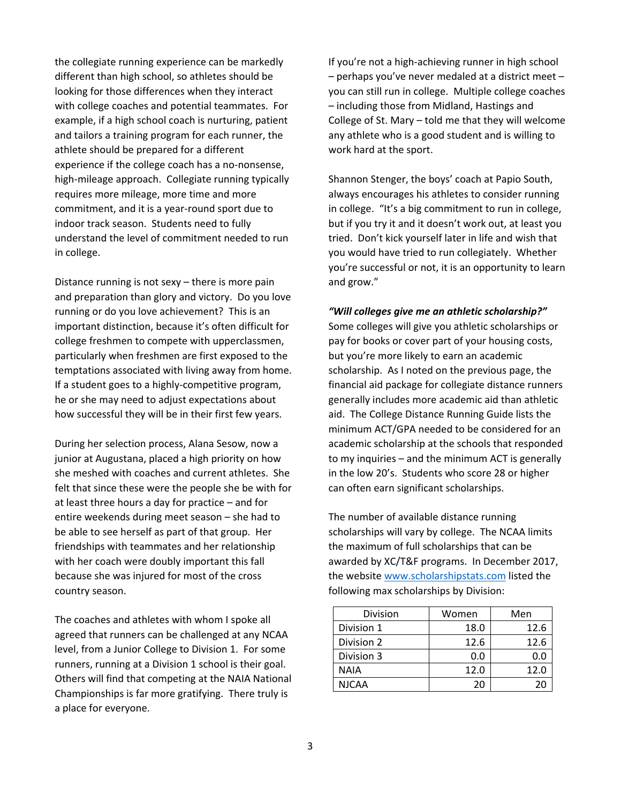the collegiate running experience can be markedly different than high school, so athletes should be looking for those differences when they interact with college coaches and potential teammates. For example, if a high school coach is nurturing, patient and tailors a training program for each runner, the athlete should be prepared for a different experience if the college coach has a no‐nonsense, high-mileage approach. Collegiate running typically requires more mileage, more time and more commitment, and it is a year‐round sport due to indoor track season. Students need to fully understand the level of commitment needed to run in college.

Distance running is not sexy – there is more pain and preparation than glory and victory. Do you love running or do you love achievement? This is an important distinction, because it's often difficult for college freshmen to compete with upperclassmen, particularly when freshmen are first exposed to the temptations associated with living away from home. If a student goes to a highly‐competitive program, he or she may need to adjust expectations about how successful they will be in their first few years.

During her selection process, Alana Sesow, now a junior at Augustana, placed a high priority on how she meshed with coaches and current athletes. She felt that since these were the people she be with for at least three hours a day for practice – and for entire weekends during meet season – she had to be able to see herself as part of that group. Her friendships with teammates and her relationship with her coach were doubly important this fall because she was injured for most of the cross country season.

The coaches and athletes with whom I spoke all agreed that runners can be challenged at any NCAA level, from a Junior College to Division 1. For some runners, running at a Division 1 school is their goal. Others will find that competing at the NAIA National Championships is far more gratifying. There truly is a place for everyone.

If you're not a high‐achieving runner in high school – perhaps you've never medaled at a district meet – you can still run in college. Multiple college coaches – including those from Midland, Hastings and College of St. Mary – told me that they will welcome any athlete who is a good student and is willing to work hard at the sport.

Shannon Stenger, the boys' coach at Papio South, always encourages his athletes to consider running in college. "It's a big commitment to run in college, but if you try it and it doesn't work out, at least you tried. Don't kick yourself later in life and wish that you would have tried to run collegiately. Whether you're successful or not, it is an opportunity to learn and grow."

*"Will colleges give me an athletic scholarship?"*

Some colleges will give you athletic scholarships or pay for books or cover part of your housing costs, but you're more likely to earn an academic scholarship. As I noted on the previous page, the financial aid package for collegiate distance runners generally includes more academic aid than athletic aid. The College Distance Running Guide lists the minimum ACT/GPA needed to be considered for an academic scholarship at the schools that responded to my inquiries – and the minimum ACT is generally in the low 20's. Students who score 28 or higher can often earn significant scholarships.

The number of available distance running scholarships will vary by college. The NCAA limits the maximum of full scholarships that can be awarded by XC/T&F programs. In December 2017, the website www.scholarshipstats.com listed the following max scholarships by Division:

| Division     | Women | Men  |
|--------------|-------|------|
| Division 1   | 18.0  | 12.6 |
| Division 2   | 12.6  | 12.6 |
| Division 3   | 0.0   | 0.0  |
| <b>NAIA</b>  | 12.0  | 12.0 |
| <b>NJCAA</b> | 20    |      |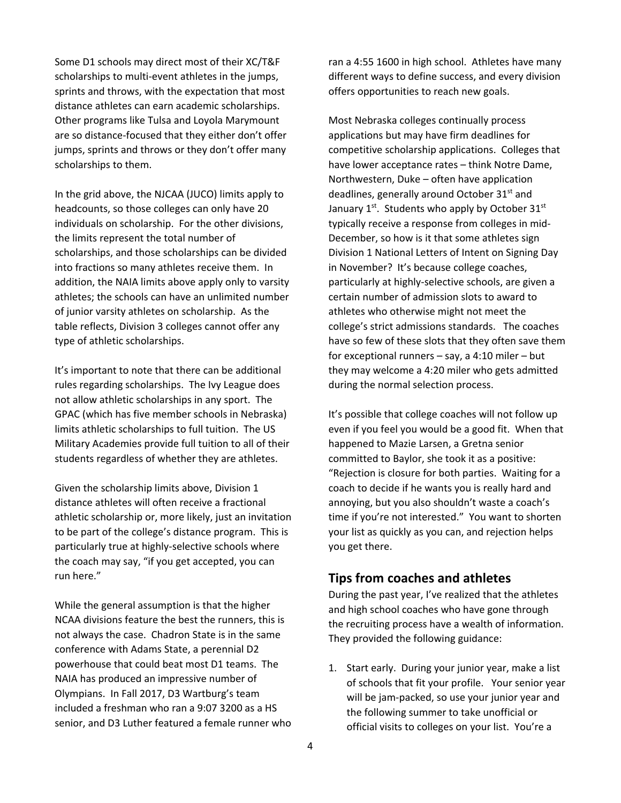Some D1 schools may direct most of their XC/T&F scholarships to multi‐event athletes in the jumps, sprints and throws, with the expectation that most distance athletes can earn academic scholarships. Other programs like Tulsa and Loyola Marymount are so distance‐focused that they either don't offer jumps, sprints and throws or they don't offer many scholarships to them.

In the grid above, the NJCAA (JUCO) limits apply to headcounts, so those colleges can only have 20 individuals on scholarship. For the other divisions, the limits represent the total number of scholarships, and those scholarships can be divided into fractions so many athletes receive them. In addition, the NAIA limits above apply only to varsity athletes; the schools can have an unlimited number of junior varsity athletes on scholarship. As the table reflects, Division 3 colleges cannot offer any type of athletic scholarships.

It's important to note that there can be additional rules regarding scholarships. The Ivy League does not allow athletic scholarships in any sport. The GPAC (which has five member schools in Nebraska) limits athletic scholarships to full tuition. The US Military Academies provide full tuition to all of their students regardless of whether they are athletes.

Given the scholarship limits above, Division 1 distance athletes will often receive a fractional athletic scholarship or, more likely, just an invitation to be part of the college's distance program. This is particularly true at highly-selective schools where the coach may say, "if you get accepted, you can run here."

While the general assumption is that the higher NCAA divisions feature the best the runners, this is not always the case. Chadron State is in the same conference with Adams State, a perennial D2 powerhouse that could beat most D1 teams. The NAIA has produced an impressive number of Olympians. In Fall 2017, D3 Wartburg's team included a freshman who ran a 9:07 3200 as a HS senior, and D3 Luther featured a female runner who

ran a 4:55 1600 in high school. Athletes have many different ways to define success, and every division offers opportunities to reach new goals.

Most Nebraska colleges continually process applications but may have firm deadlines for competitive scholarship applications. Colleges that have lower acceptance rates – think Notre Dame, Northwestern, Duke – often have application deadlines, generally around October 31<sup>st</sup> and January  $1^{st}$ . Students who apply by October 31st typically receive a response from colleges in mid‐ December, so how is it that some athletes sign Division 1 National Letters of Intent on Signing Day in November? It's because college coaches, particularly at highly‐selective schools, are given a certain number of admission slots to award to athletes who otherwise might not meet the college's strict admissions standards. The coaches have so few of these slots that they often save them for exceptional runners – say, a 4:10 miler – but they may welcome a 4:20 miler who gets admitted during the normal selection process.

It's possible that college coaches will not follow up even if you feel you would be a good fit. When that happened to Mazie Larsen, a Gretna senior committed to Baylor, she took it as a positive: "Rejection is closure for both parties. Waiting for a coach to decide if he wants you is really hard and annoying, but you also shouldn't waste a coach's time if you're not interested." You want to shorten your list as quickly as you can, and rejection helps you get there.

## **Tips from coaches and athletes**

During the past year, I've realized that the athletes and high school coaches who have gone through the recruiting process have a wealth of information. They provided the following guidance:

1. Start early. During your junior year, make a list of schools that fit your profile. Your senior year will be jam‐packed, so use your junior year and the following summer to take unofficial or official visits to colleges on your list. You're a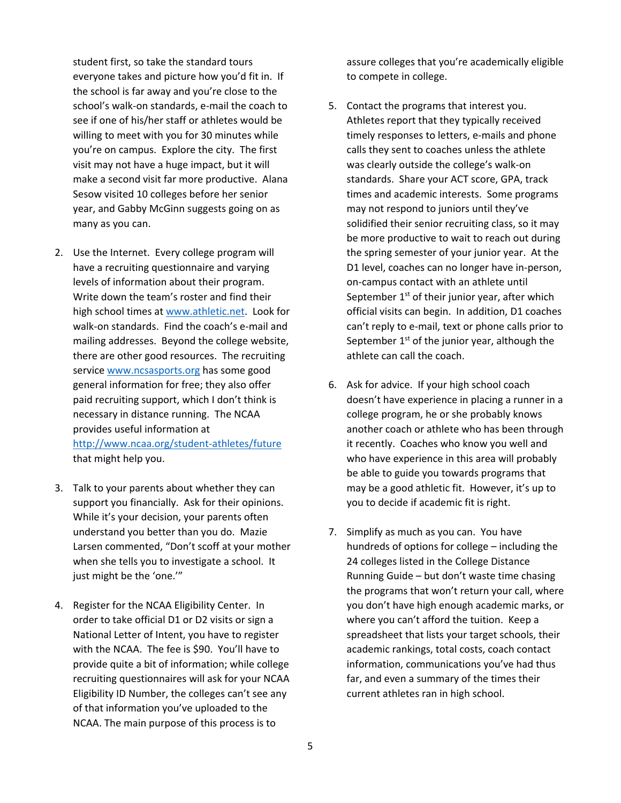student first, so take the standard tours everyone takes and picture how you'd fit in. If the school is far away and you're close to the school's walk‐on standards, e‐mail the coach to see if one of his/her staff or athletes would be willing to meet with you for 30 minutes while you're on campus. Explore the city. The first visit may not have a huge impact, but it will make a second visit far more productive. Alana Sesow visited 10 colleges before her senior year, and Gabby McGinn suggests going on as many as you can.

- 2. Use the Internet. Every college program will have a recruiting questionnaire and varying levels of information about their program. Write down the team's roster and find their high school times at www.athletic.net. Look for walk-on standards. Find the coach's e-mail and mailing addresses. Beyond the college website, there are other good resources. The recruiting service www.ncsasports.org has some good general information for free; they also offer paid recruiting support, which I don't think is necessary in distance running. The NCAA provides useful information at http://www.ncaa.org/student‐athletes/future that might help you.
- 3. Talk to your parents about whether they can support you financially. Ask for their opinions. While it's your decision, your parents often understand you better than you do. Mazie Larsen commented, "Don't scoff at your mother when she tells you to investigate a school. It just might be the 'one.'"
- 4. Register for the NCAA Eligibility Center. In order to take official D1 or D2 visits or sign a National Letter of Intent, you have to register with the NCAA. The fee is \$90. You'll have to provide quite a bit of information; while college recruiting questionnaires will ask for your NCAA Eligibility ID Number, the colleges can't see any of that information you've uploaded to the NCAA. The main purpose of this process is to

assure colleges that you're academically eligible to compete in college.

- 5. Contact the programs that interest you. Athletes report that they typically received timely responses to letters, e‐mails and phone calls they sent to coaches unless the athlete was clearly outside the college's walk‐on standards. Share your ACT score, GPA, track times and academic interests. Some programs may not respond to juniors until they've solidified their senior recruiting class, so it may be more productive to wait to reach out during the spring semester of your junior year. At the D1 level, coaches can no longer have in‐person, on‐campus contact with an athlete until September  $1<sup>st</sup>$  of their junior year, after which official visits can begin. In addition, D1 coaches can't reply to e‐mail, text or phone calls prior to September  $1<sup>st</sup>$  of the junior year, although the athlete can call the coach.
- 6. Ask for advice. If your high school coach doesn't have experience in placing a runner in a college program, he or she probably knows another coach or athlete who has been through it recently. Coaches who know you well and who have experience in this area will probably be able to guide you towards programs that may be a good athletic fit. However, it's up to you to decide if academic fit is right.
- 7. Simplify as much as you can. You have hundreds of options for college – including the 24 colleges listed in the College Distance Running Guide – but don't waste time chasing the programs that won't return your call, where you don't have high enough academic marks, or where you can't afford the tuition. Keep a spreadsheet that lists your target schools, their academic rankings, total costs, coach contact information, communications you've had thus far, and even a summary of the times their current athletes ran in high school.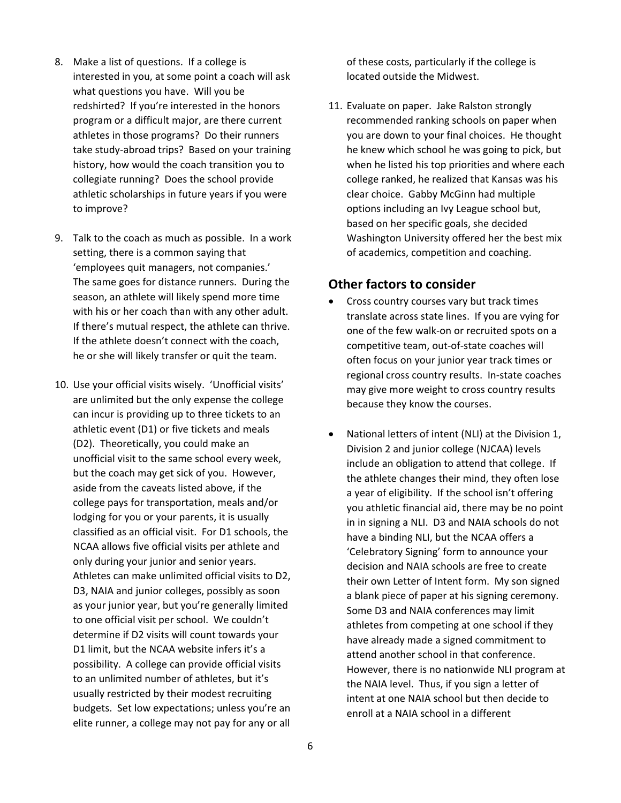- 8. Make a list of questions. If a college is interested in you, at some point a coach will ask what questions you have. Will you be redshirted? If you're interested in the honors program or a difficult major, are there current athletes in those programs? Do their runners take study‐abroad trips? Based on your training history, how would the coach transition you to collegiate running? Does the school provide athletic scholarships in future years if you were to improve?
- 9. Talk to the coach as much as possible. In a work setting, there is a common saying that 'employees quit managers, not companies.' The same goes for distance runners. During the season, an athlete will likely spend more time with his or her coach than with any other adult. If there's mutual respect, the athlete can thrive. If the athlete doesn't connect with the coach, he or she will likely transfer or quit the team.
- 10. Use your official visits wisely. 'Unofficial visits' are unlimited but the only expense the college can incur is providing up to three tickets to an athletic event (D1) or five tickets and meals (D2). Theoretically, you could make an unofficial visit to the same school every week, but the coach may get sick of you. However, aside from the caveats listed above, if the college pays for transportation, meals and/or lodging for you or your parents, it is usually classified as an official visit. For D1 schools, the NCAA allows five official visits per athlete and only during your junior and senior years. Athletes can make unlimited official visits to D2, D3, NAIA and junior colleges, possibly as soon as your junior year, but you're generally limited to one official visit per school. We couldn't determine if D2 visits will count towards your D1 limit, but the NCAA website infers it's a possibility. A college can provide official visits to an unlimited number of athletes, but it's usually restricted by their modest recruiting budgets. Set low expectations; unless you're an elite runner, a college may not pay for any or all

of these costs, particularly if the college is located outside the Midwest.

11. Evaluate on paper. Jake Ralston strongly recommended ranking schools on paper when you are down to your final choices. He thought he knew which school he was going to pick, but when he listed his top priorities and where each college ranked, he realized that Kansas was his clear choice. Gabby McGinn had multiple options including an Ivy League school but, based on her specific goals, she decided Washington University offered her the best mix of academics, competition and coaching.

### **Other factors to consider**

- Cross country courses vary but track times translate across state lines. If you are vying for one of the few walk‐on or recruited spots on a competitive team, out‐of‐state coaches will often focus on your junior year track times or regional cross country results. In‐state coaches may give more weight to cross country results because they know the courses.
- National letters of intent (NLI) at the Division 1, Division 2 and junior college (NJCAA) levels include an obligation to attend that college. If the athlete changes their mind, they often lose a year of eligibility. If the school isn't offering you athletic financial aid, there may be no point in in signing a NLI. D3 and NAIA schools do not have a binding NLI, but the NCAA offers a 'Celebratory Signing' form to announce your decision and NAIA schools are free to create their own Letter of Intent form. My son signed a blank piece of paper at his signing ceremony. Some D3 and NAIA conferences may limit athletes from competing at one school if they have already made a signed commitment to attend another school in that conference. However, there is no nationwide NLI program at the NAIA level. Thus, if you sign a letter of intent at one NAIA school but then decide to enroll at a NAIA school in a different